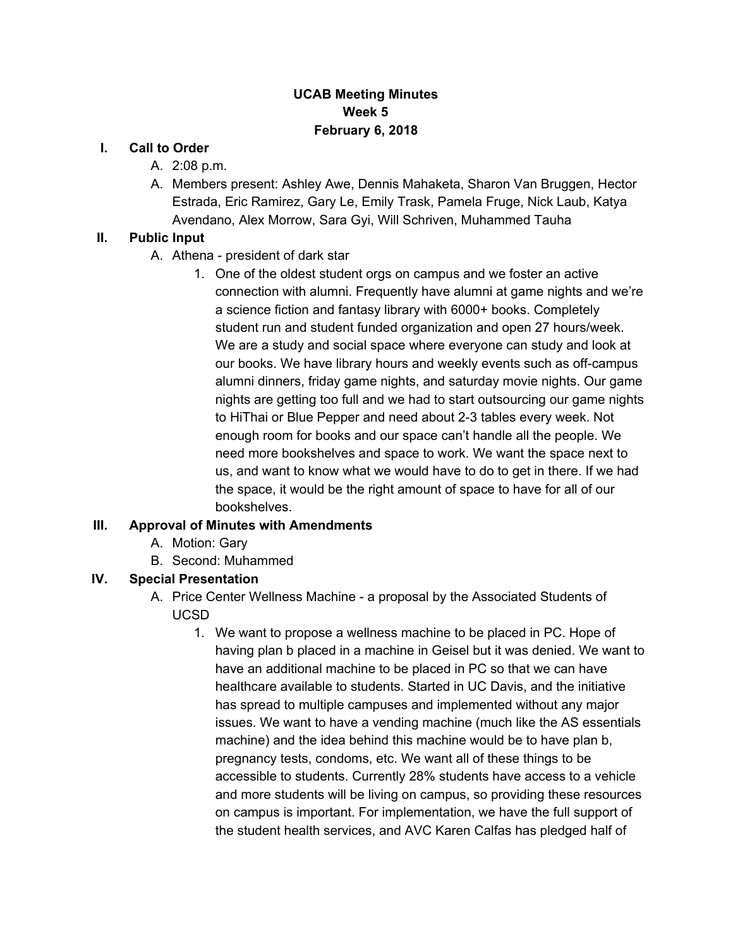## **UCAB Meeting Minutes Week 5 February 6, 2018**

#### **I. Call to Order**

- A. 2:08 p.m.
- A. Members present: Ashley Awe, Dennis Mahaketa, Sharon Van Bruggen, Hector Estrada, Eric Ramirez, Gary Le, Emily Trask, Pamela Fruge, Nick Laub, Katya Avendano, Alex Morrow, Sara Gyi, Will Schriven, Muhammed Tauha

### **II. Public Input**

- A. Athena president of dark star
	- 1. One of the oldest student orgs on campus and we foster an active connection with alumni. Frequently have alumni at game nights and we're a science fiction and fantasy library with 6000+ books. Completely student run and student funded organization and open 27 hours/week. We are a study and social space where everyone can study and look at our books. We have library hours and weekly events such as off-campus alumni dinners, friday game nights, and saturday movie nights. Our game nights are getting too full and we had to start outsourcing our game nights to HiThai or Blue Pepper and need about 2-3 tables every week. Not enough room for books and our space can't handle all the people. We need more bookshelves and space to work. We want the space next to us, and want to know what we would have to do to get in there. If we had the space, it would be the right amount of space to have for all of our bookshelves.

### **III. Approval of Minutes with Amendments**

- A. Motion: Gary
- B. Second: Muhammed

### **IV. Special Presentation**

- A. Price Center Wellness Machine a proposal by the Associated Students of UCSD
	- 1. We want to propose a wellness machine to be placed in PC. Hope of having plan b placed in a machine in Geisel but it was denied. We want to have an additional machine to be placed in PC so that we can have healthcare available to students. Started in UC Davis, and the initiative has spread to multiple campuses and implemented without any major issues. We want to have a vending machine (much like the AS essentials machine) and the idea behind this machine would be to have plan b, pregnancy tests, condoms, etc. We want all of these things to be accessible to students. Currently 28% students have access to a vehicle and more students will be living on campus, so providing these resources on campus is important. For implementation, we have the full support of the student health services, and AVC Karen Calfas has pledged half of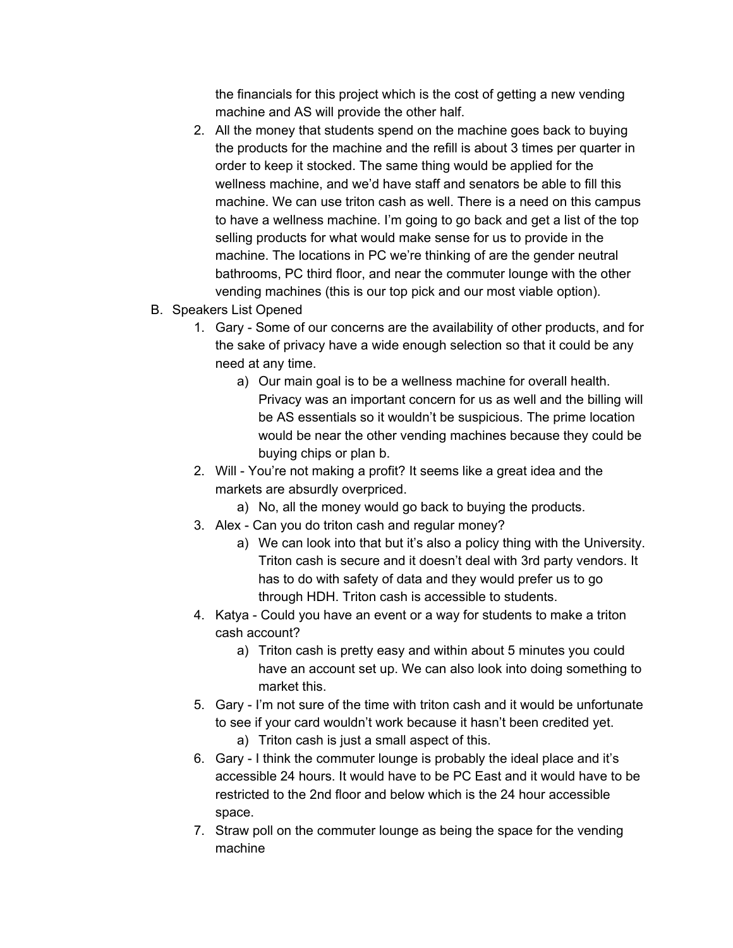the financials for this project which is the cost of getting a new vending machine and AS will provide the other half.

- 2. All the money that students spend on the machine goes back to buying the products for the machine and the refill is about 3 times per quarter in order to keep it stocked. The same thing would be applied for the wellness machine, and we'd have staff and senators be able to fill this machine. We can use triton cash as well. There is a need on this campus to have a wellness machine. I'm going to go back and get a list of the top selling products for what would make sense for us to provide in the machine. The locations in PC we're thinking of are the gender neutral bathrooms, PC third floor, and near the commuter lounge with the other vending machines (this is our top pick and our most viable option).
- B. Speakers List Opened
	- 1. Gary Some of our concerns are the availability of other products, and for the sake of privacy have a wide enough selection so that it could be any need at any time.
		- a) Our main goal is to be a wellness machine for overall health. Privacy was an important concern for us as well and the billing will be AS essentials so it wouldn't be suspicious. The prime location would be near the other vending machines because they could be buying chips or plan b.
	- 2. Will You're not making a profit? It seems like a great idea and the markets are absurdly overpriced.
		- a) No, all the money would go back to buying the products.
	- 3. Alex Can you do triton cash and regular money?
		- a) We can look into that but it's also a policy thing with the University. Triton cash is secure and it doesn't deal with 3rd party vendors. It has to do with safety of data and they would prefer us to go through HDH. Triton cash is accessible to students.
	- 4. Katya Could you have an event or a way for students to make a triton cash account?
		- a) Triton cash is pretty easy and within about 5 minutes you could have an account set up. We can also look into doing something to market this.
	- 5. Gary I'm not sure of the time with triton cash and it would be unfortunate to see if your card wouldn't work because it hasn't been credited yet.
		- a) Triton cash is just a small aspect of this.
	- 6. Gary I think the commuter lounge is probably the ideal place and it's accessible 24 hours. It would have to be PC East and it would have to be restricted to the 2nd floor and below which is the 24 hour accessible space.
	- 7. Straw poll on the commuter lounge as being the space for the vending machine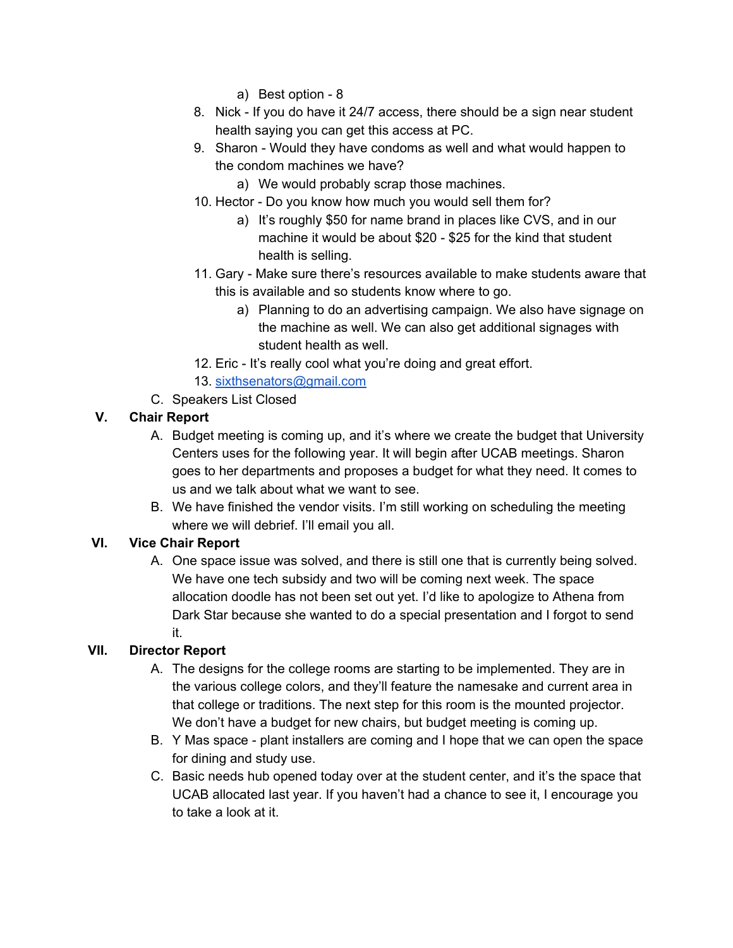- a) Best option 8
- 8. Nick If you do have it 24/7 access, there should be a sign near student health saying you can get this access at PC.
- 9. Sharon Would they have condoms as well and what would happen to the condom machines we have?
	- a) We would probably scrap those machines.
- 10. Hector Do you know how much you would sell them for?
	- a) It's roughly \$50 for name brand in places like CVS, and in our machine it would be about \$20 - \$25 for the kind that student health is selling.
- 11. Gary Make sure there's resources available to make students aware that this is available and so students know where to go.
	- a) Planning to do an advertising campaign. We also have signage on the machine as well. We can also get additional signages with student health as well.
- 12. Eric It's really cool what you're doing and great effort.
- 13. [sixthsenators@gmail.com](mailto:sixthsenators@gmail.com)
- C. Speakers List Closed

# **V. Chair Report**

- A. Budget meeting is coming up, and it's where we create the budget that University Centers uses for the following year. It will begin after UCAB meetings. Sharon goes to her departments and proposes a budget for what they need. It comes to us and we talk about what we want to see.
- B. We have finished the vendor visits. I'm still working on scheduling the meeting where we will debrief. I'll email you all.

# **VI. Vice Chair Report**

A. One space issue was solved, and there is still one that is currently being solved. We have one tech subsidy and two will be coming next week. The space allocation doodle has not been set out yet. I'd like to apologize to Athena from Dark Star because she wanted to do a special presentation and I forgot to send it.

# **VII. Director Report**

- A. The designs for the college rooms are starting to be implemented. They are in the various college colors, and they'll feature the namesake and current area in that college or traditions. The next step for this room is the mounted projector. We don't have a budget for new chairs, but budget meeting is coming up.
- B. Y Mas space plant installers are coming and I hope that we can open the space for dining and study use.
- C. Basic needs hub opened today over at the student center, and it's the space that UCAB allocated last year. If you haven't had a chance to see it, I encourage you to take a look at it.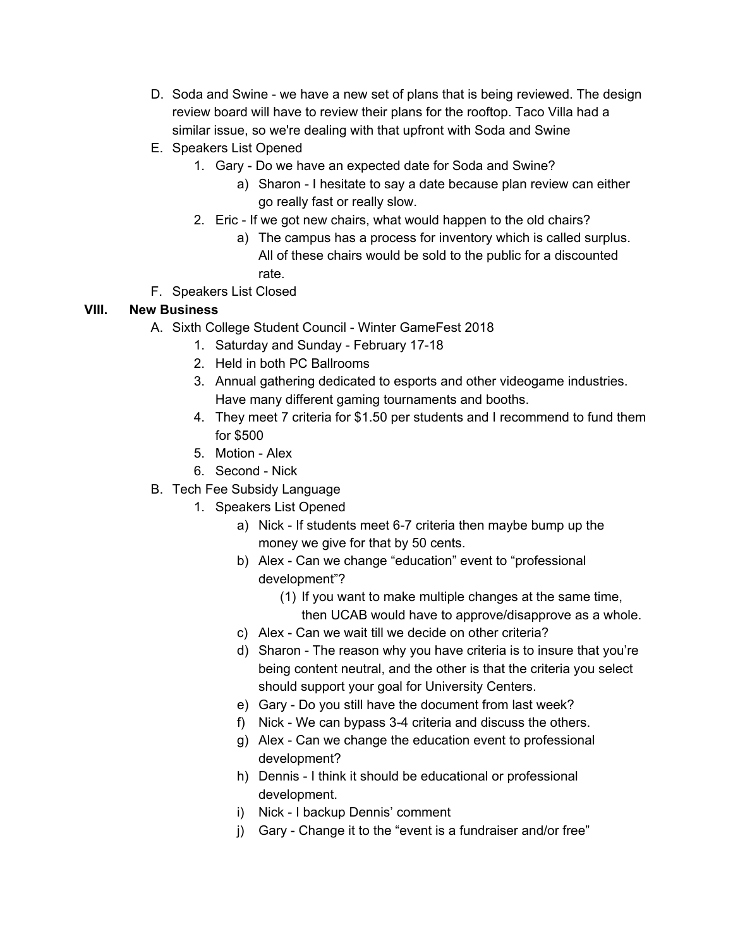- D. Soda and Swine we have a new set of plans that is being reviewed. The design review board will have to review their plans for the rooftop. Taco Villa had a similar issue, so we're dealing with that upfront with Soda and Swine
- E. Speakers List Opened
	- 1. Gary Do we have an expected date for Soda and Swine?
		- a) Sharon I hesitate to say a date because plan review can either go really fast or really slow.
	- 2. Eric If we got new chairs, what would happen to the old chairs?
		- a) The campus has a process for inventory which is called surplus. All of these chairs would be sold to the public for a discounted rate.
- F. Speakers List Closed

### **VIII. New Business**

- A. Sixth College Student Council Winter GameFest 2018
	- 1. Saturday and Sunday February 17-18
	- 2. Held in both PC Ballrooms
	- 3. Annual gathering dedicated to esports and other videogame industries. Have many different gaming tournaments and booths.
	- 4. They meet 7 criteria for \$1.50 per students and I recommend to fund them for \$500
	- 5. Motion Alex
	- 6. Second Nick
- B. Tech Fee Subsidy Language
	- 1. Speakers List Opened
		- a) Nick If students meet 6-7 criteria then maybe bump up the money we give for that by 50 cents.
		- b) Alex Can we change "education" event to "professional development"?
			- (1) If you want to make multiple changes at the same time, then UCAB would have to approve/disapprove as a whole.
		- c) Alex Can we wait till we decide on other criteria?
		- d) Sharon The reason why you have criteria is to insure that you're being content neutral, and the other is that the criteria you select should support your goal for University Centers.
		- e) Gary Do you still have the document from last week?
		- f) Nick We can bypass 3-4 criteria and discuss the others.
		- g) Alex Can we change the education event to professional development?
		- h) Dennis I think it should be educational or professional development.
		- i) Nick I backup Dennis' comment
		- j) Gary Change it to the "event is a fundraiser and/or free"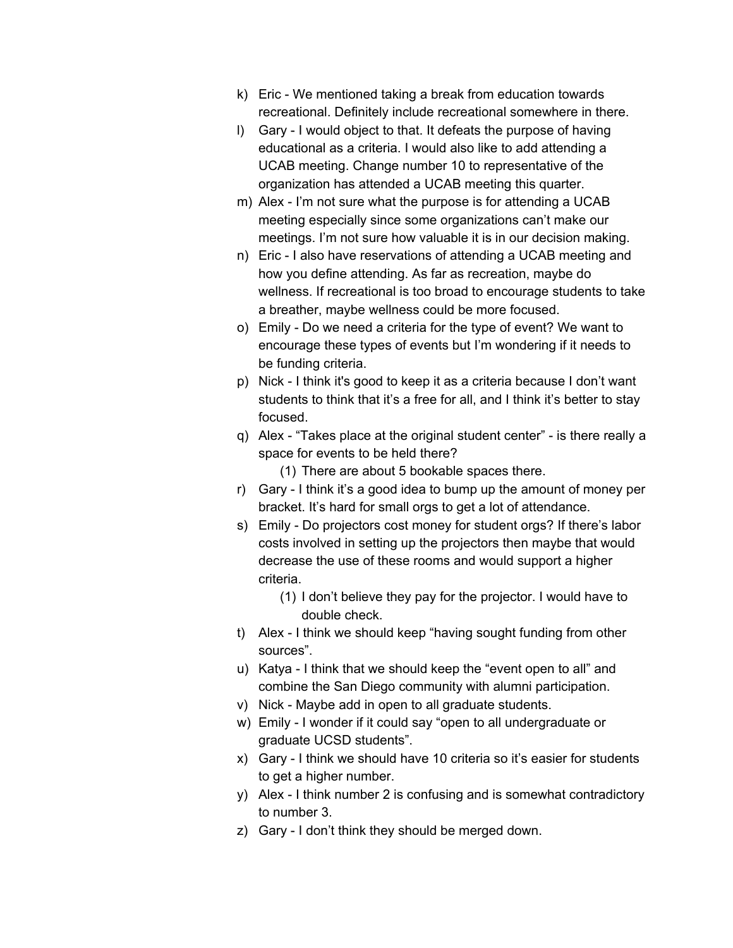- k) Eric We mentioned taking a break from education towards recreational. Definitely include recreational somewhere in there.
- l) Gary I would object to that. It defeats the purpose of having educational as a criteria. I would also like to add attending a UCAB meeting. Change number 10 to representative of the organization has attended a UCAB meeting this quarter.
- m) Alex I'm not sure what the purpose is for attending a UCAB meeting especially since some organizations can't make our meetings. I'm not sure how valuable it is in our decision making.
- n) Eric I also have reservations of attending a UCAB meeting and how you define attending. As far as recreation, maybe do wellness. If recreational is too broad to encourage students to take a breather, maybe wellness could be more focused.
- o) Emily Do we need a criteria for the type of event? We want to encourage these types of events but I'm wondering if it needs to be funding criteria.
- p) Nick I think it's good to keep it as a criteria because I don't want students to think that it's a free for all, and I think it's better to stay focused.
- q) Alex "Takes place at the original student center" is there really a space for events to be held there?
	- (1) There are about 5 bookable spaces there.
- r) Gary I think it's a good idea to bump up the amount of money per bracket. It's hard for small orgs to get a lot of attendance.
- s) Emily Do projectors cost money for student orgs? If there's labor costs involved in setting up the projectors then maybe that would decrease the use of these rooms and would support a higher criteria.
	- (1) I don't believe they pay for the projector. I would have to double check.
- t) Alex I think we should keep "having sought funding from other sources".
- u) Katya I think that we should keep the "event open to all" and combine the San Diego community with alumni participation.
- v) Nick Maybe add in open to all graduate students.
- w) Emily I wonder if it could say "open to all undergraduate or graduate UCSD students".
- x) Gary I think we should have 10 criteria so it's easier for students to get a higher number.
- y) Alex I think number 2 is confusing and is somewhat contradictory to number 3.
- z) Gary I don't think they should be merged down.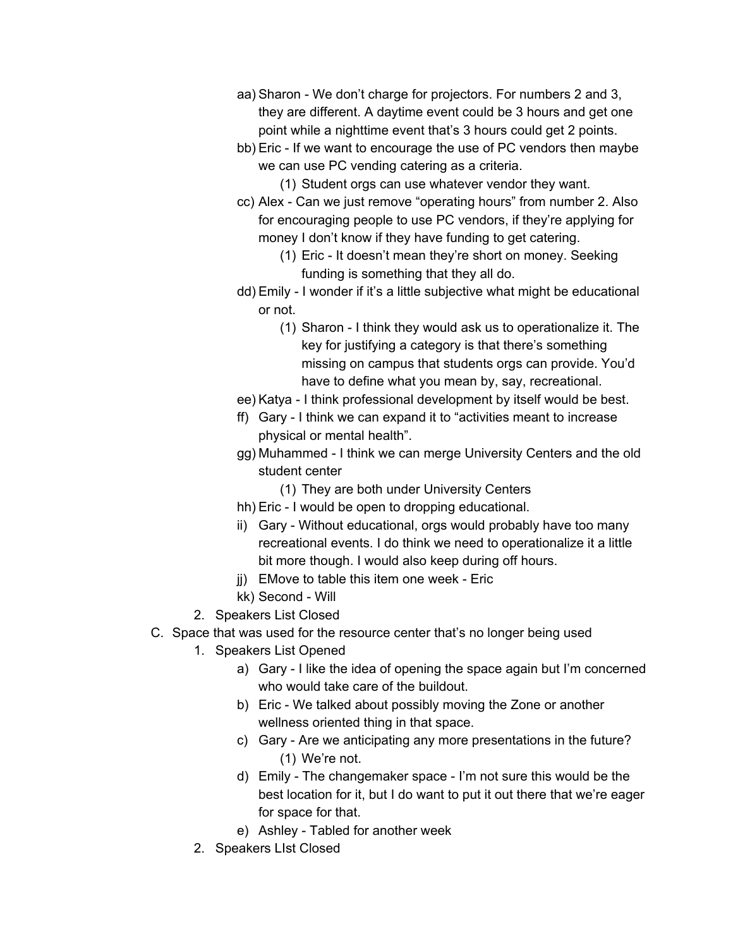- aa) Sharon We don't charge for projectors. For numbers 2 and 3, they are different. A daytime event could be 3 hours and get one point while a nighttime event that's 3 hours could get 2 points.
- bb) Eric If we want to encourage the use of PC vendors then maybe we can use PC vending catering as a criteria.
	- (1) Student orgs can use whatever vendor they want.
- cc) Alex Can we just remove "operating hours" from number 2. Also for encouraging people to use PC vendors, if they're applying for money I don't know if they have funding to get catering.
	- (1) Eric It doesn't mean they're short on money. Seeking funding is something that they all do.
- dd) Emily I wonder if it's a little subjective what might be educational or not.
	- (1) Sharon I think they would ask us to operationalize it. The key for justifying a category is that there's something missing on campus that students orgs can provide. You'd have to define what you mean by, say, recreational.
- ee) Katya I think professional development by itself would be best.
- ff) Gary I think we can expand it to "activities meant to increase physical or mental health".
- gg) Muhammed I think we can merge University Centers and the old student center
	- (1) They are both under University Centers
- hh) Eric I would be open to dropping educational.
- ii) Gary Without educational, orgs would probably have too many recreational events. I do think we need to operationalize it a little bit more though. I would also keep during off hours.
- jj) EMove to table this item one week Eric
- kk) Second Will
- 2. Speakers List Closed
- C. Space that was used for the resource center that's no longer being used
	- 1. Speakers List Opened
		- a) Gary I like the idea of opening the space again but I'm concerned who would take care of the buildout.
		- b) Eric We talked about possibly moving the Zone or another wellness oriented thing in that space.
		- c) Gary Are we anticipating any more presentations in the future? (1) We're not.
		- d) Emily The changemaker space I'm not sure this would be the best location for it, but I do want to put it out there that we're eager for space for that.
		- e) Ashley Tabled for another week
	- 2. Speakers LIst Closed